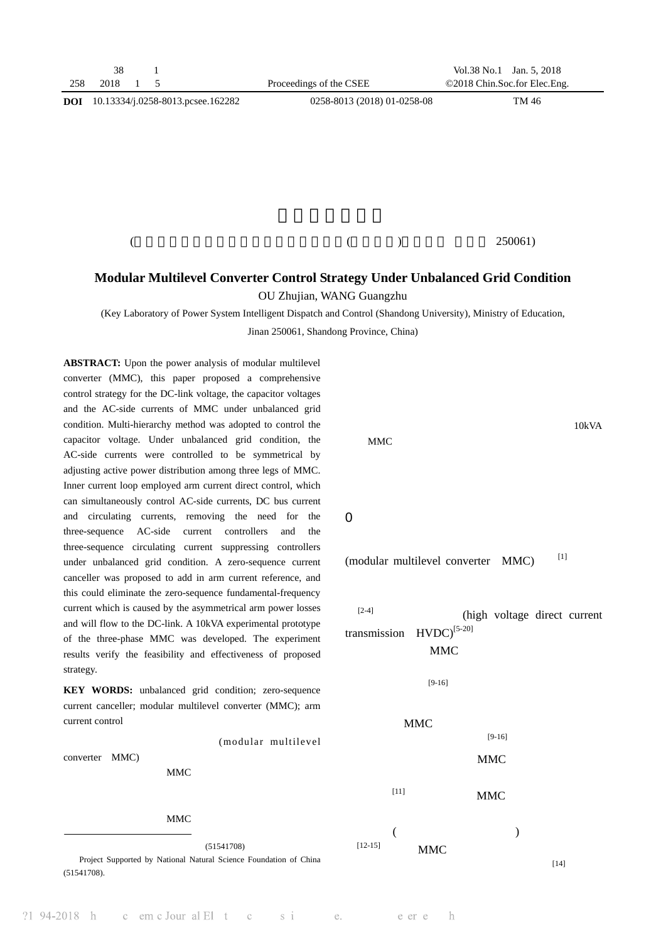| 258        | 38<br>2018 | 5                                 |  | Proceedings of the CSEE     |  | Vol.38 No.1<br>©2018 Chin.Soc.for Elec.Eng. | Jan. 5, 2018 |  |
|------------|------------|-----------------------------------|--|-----------------------------|--|---------------------------------------------|--------------|--|
| <b>DOI</b> |            | 10.13334/j.0258-8013.pcsee.162282 |  | 0258-8013 (2018) 01-0258-08 |  |                                             | TM 46        |  |
|            |            |                                   |  |                             |  |                                             |              |  |
|            |            |                                   |  |                             |  |                                             |              |  |
|            |            |                                   |  |                             |  |                                             |              |  |
|            |            |                                   |  |                             |  |                                             |              |  |
|            |            |                                   |  |                             |  |                                             |              |  |
|            |            |                                   |  |                             |  |                                             |              |  |
|            |            |                                   |  |                             |  |                                             |              |  |
|            |            |                                   |  |                             |  |                                             | 250061)      |  |

## **Modular Multilevel Converter Control Strategy Under Unbalanced Grid Condition**

OU Zhujian, WANG Guangzhu

(Key Laboratory of Power System Intelligent Dispatch and Control (Shandong University), Ministry of Education,

Jinan 250061, Shandong Province, China)

**ABSTRACT:** Upon the power analysis of modular multilevel converter (MMC), this paper proposed a comprehensive control strategy for the DC-link voltage, the capacitor voltages and the AC-side currents of MMC under unbalanced grid condition. Multi-hierarchy method was adopted to control the capacitor voltage. Under unbalanced grid condition, the AC-side currents were controlled to be symmetrical by adjusting active power distribution among three legs of MMC. Inner current loop employed arm current direct control, which can simultaneously control AC-side currents, DC bus current and circulating currents, removing the need for the three-sequence AC-side current controllers and the three-sequence circulating current suppressing controllers under unbalanced grid condition. A zero-sequence current canceller was proposed to add in arm current reference, and this could eliminate the zero-sequence fundamental-frequency current which is caused by the asymmetrical arm power losses and will flow to the DC-link. A 10kVA experimental prototype of the three-phase MMC was developed. The experiment results verify the feasibility and effectiveness of proposed strategy.

**KEY WORDS:** unbalanced grid condition; zero-sequence current canceller; modular multilevel converter (MMC); arm current control

converter MMC)

电网电压不对称工况的 MMC 综合控制策略,包括直流母线

### 过调整直流母线功率在 MMC 三相桥臂间的分配,实现交流

 $(51541708)$ Project Supported by National Natural Science Foundation of China (51541708).

MMC  $\blacksquare$ 

 $\Omega$ 

(modular multilevel converter  $MMC$ )  $[1]$ 

 $[2-4]$  (high voltage direct current transmission  $HVDC$ <sup>[5-20]</sup> MMC

10kVA



(modular multilevel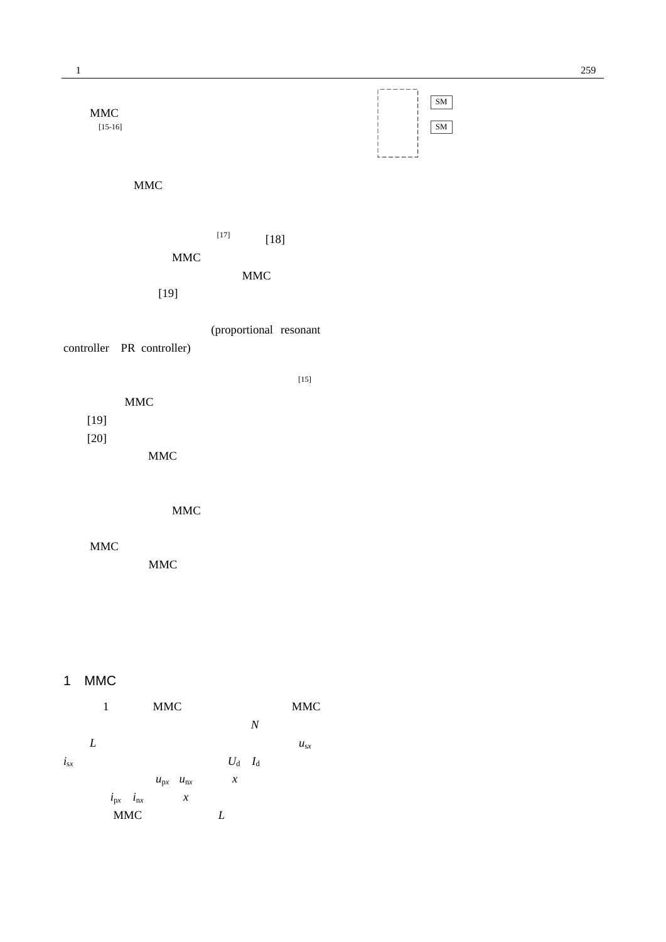

## 1 MMC

È-+••7ò+eO1 +e Burdes, eaching a schematic condi-**Book had builty walling a settlement of the book and positions of the company of the company of the company of the company of the company of the company of the company of the company of the company of the company of the c** 

1657272Ädpscr\_nscr\_ *d*MMC [2 (2) [2 (3) sps F>|Ï)·6ÀÄ0c1õå;-

938363 12015 12026 12036 12046 12056 12066 12076 12086 12096 12096 12096 12096 12096 12096 12096 12096 12096 1

0.00076 T47SMPP dddd[2 (4) n[2sp307

|          |   | 1 |                                 | <b>MMC</b>        |                  |   |                  |                  | <b>MMC</b> |
|----------|---|---|---------------------------------|-------------------|------------------|---|------------------|------------------|------------|
|          |   |   |                                 |                   |                  |   |                  | $\boldsymbol{N}$ |            |
|          | L |   |                                 |                   |                  |   |                  |                  | $u_{sx}$   |
| $i_{sx}$ |   |   |                                 |                   |                  |   | $U_d$ $I_d$      |                  |            |
|          |   |   |                                 | $u_{px}$ $u_{nx}$ |                  |   | $\boldsymbol{x}$ |                  |            |
|          |   |   | $i_{\text{px}}$ $i_{\text{nx}}$ |                   | $\boldsymbol{x}$ |   |                  |                  |            |
|          |   |   | <b>MMC</b>                      |                   |                  | L |                  |                  |            |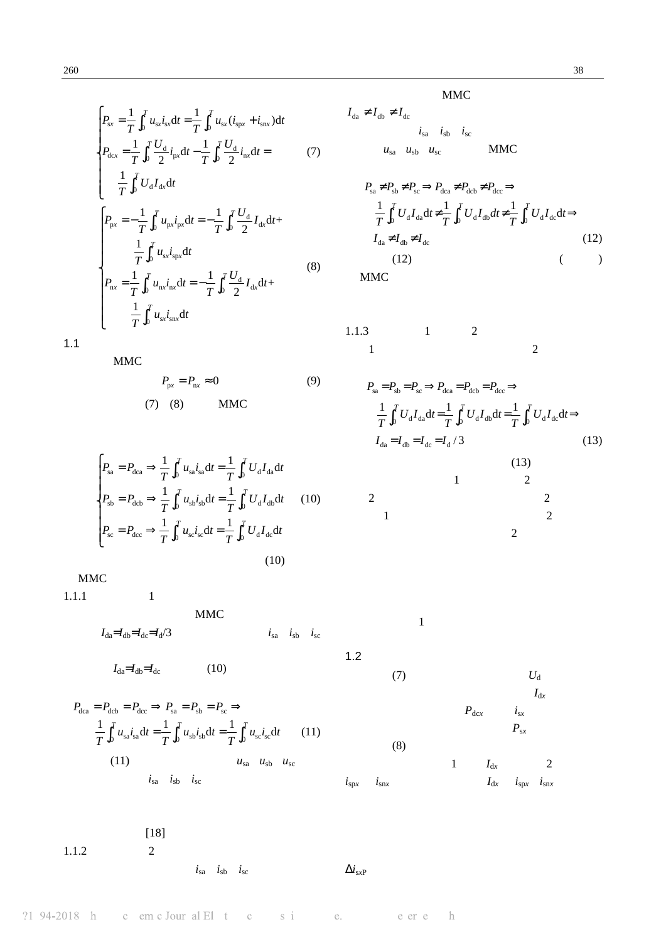$$
P_{\rm sx} = \frac{1}{T} \int_0^T u_{\rm sx} i_{\rm sx} dt = \frac{1}{T} \int_0^T u_{\rm sx} (i_{\rm spr} + i_{\rm snx}) dt
$$
  
\n
$$
P_{\rm dcx} = \frac{1}{T} \int_0^T \frac{U_{\rm d}}{2} i_{\rm px} dt - \frac{1}{T} \int_0^T \frac{U_{\rm d}}{2} i_{\rm nx} dt = (7)
$$
  
\n
$$
\frac{1}{T} \int_0^T U_{\rm d} I_{\rm dx} dt
$$
  
\n
$$
P_{\rm px} = -\frac{1}{T} \int_0^T u_{\rm px} i_{\rm px} dt = -\frac{1}{T} \int_0^T \frac{U_{\rm d}}{2} I_{\rm dx} dt + \frac{1}{T} \int_0^T u_{\rm sx} i_{\rm sx} dt
$$
  
\n
$$
P_{\rm nx} = \frac{1}{T} \int_0^T u_{\rm nx} i_{\rm nx} dt = -\frac{1}{T} \int_0^T \frac{U_{\rm d}}{2} I_{\rm dx} dt + \frac{1}{T} \int_0^T u_{\rm sx} i_{\rm snx} dt
$$
  
\n(8)

$$
1.1 \\
$$

MMC

$$
P_{\text{px}} = P_{\text{nx}} \approx 0 \tag{9}
$$
  
(7) (8) MMC

$$
P_{\rm sa} = P_{\rm dca} \Rightarrow \frac{1}{T} \int_0^T u_{\rm sa} i_{\rm sa} dt = \frac{1}{T} \int_0^T U_{\rm d} I_{\rm da} dt
$$
  
\n
$$
P_{\rm sb} = P_{\rm dcb} \Rightarrow \frac{1}{T} \int_0^T u_{\rm sb} i_{\rm sb} dt = \frac{1}{T} \int_0^T U_{\rm d} I_{\rm db} dt \qquad (10)
$$
  
\n
$$
P_{\rm sc} = P_{\rm dcc} \Rightarrow \frac{1}{T} \int_0^T u_{\rm sc} i_{\rm sc} dt = \frac{1}{T} \int_0^T U_{\rm d} I_{\rm dc} dt
$$
  
\n(10)

 $\mathbf{MMC}$ 

 $1.1.1$  1

$$
MMC
$$
  

$$
I_{da} = I_{db} = I_{dc} = I_d/3
$$
  

$$
I_{sa} \quad i_{sb} \quad i_{sc}
$$

 $1.2$ 

$$
I_{\text{da}} = I_{\text{db}} = I_{\text{dc}} \tag{10}
$$

$$
P_{\text{dca}} = P_{\text{dcb}} = P_{\text{dcc}} \Rightarrow P_{\text{sa}} = P_{\text{sb}} = P_{\text{sc}} \Rightarrow
$$
  

$$
\frac{1}{T} \int_0^T u_{\text{sa}} i_{\text{sa}} dt = \frac{1}{T} \int_0^T u_{\text{sb}} i_{\text{sb}} dt = \frac{1}{T} \int_0^T u_{\text{sc}} i_{\text{sc}} dt \qquad (11)
$$
  
(11) 
$$
u_{\text{sa}} \quad u_{\text{sb}} \quad u_{\text{sc}}
$$
  

$$
i_{\text{sa}} \quad i_{\text{sb}} \quad i_{\text{sc}}
$$

 $[18]$ 

 $1.1.2$  2

 $i_{sa}$   $i_{sb}$   $i_{sc}$  $\Delta i_{\rm sxP}$  MMC

$$
I_{da} \neq I_{db} \neq I_{dc}
$$
  
\n
$$
i_{sa} \quad i_{sb} \quad i_{sc}
$$
  
\n
$$
u_{sa} \quad u_{sb} \quad u_{sc}
$$
 MMC

$$
P_{sa} \neq P_{sb} \neq P_{sc} \Rightarrow P_{dca} \neq P_{dcb} \neq P_{dcc} \Rightarrow
$$
  
\n
$$
\frac{1}{T} \int_0^T U_d I_{da} dt \neq \frac{1}{T} \int_0^T U_d I_{db} dt \neq \frac{1}{T} \int_0^T U_d I_{dc} dt \Rightarrow
$$
  
\n
$$
I_{da} \neq I_{db} \neq I_{dc}
$$
  
\n(12)  
\n
$$
(12)
$$
  
\n
$$
(12)
$$

$$
\begin{array}{cccc}\n1.1.3 & 1 & 2 \\
1 & 2 & 2\n\end{array}
$$

$$
P_{sa} = P_{sb} = P_{sc} \Rightarrow P_{dca} = P_{dcb} = P_{dcc} \Rightarrow
$$
  
\n
$$
\frac{1}{T} \int_{0}^{T} U_{d} I_{da} dt = \frac{1}{T} \int_{0}^{T} U_{d} I_{db} dt = \frac{1}{T} \int_{0}^{T} U_{d} I_{dc} dt \Rightarrow
$$
  
\n
$$
I_{da} = I_{db} = I_{dc} = I_{d} / 3
$$
\n(13)  
\n1  
\n2

$$
\begin{array}{cccc}\n & & & & & 2 \\
 & & & & & & 2 \\
 & & & & & & 2 \\
 & & & & & & 2\n\end{array}
$$

 $1$ 

(7) 
$$
U_d
$$
  
\n $I_{dx}$   
\n $P_{dx}$   $i_{sx}$   
\n(8)  $1 \tI_{dx}$   $2$   
\n $i_{spr}$   $i_{snx}$   $I_{dx}$   $i_{spr}$   $i_{snx}$ 

#### $?194-2018 h$ c em c Jour al El  $t$  c s i e. e er e h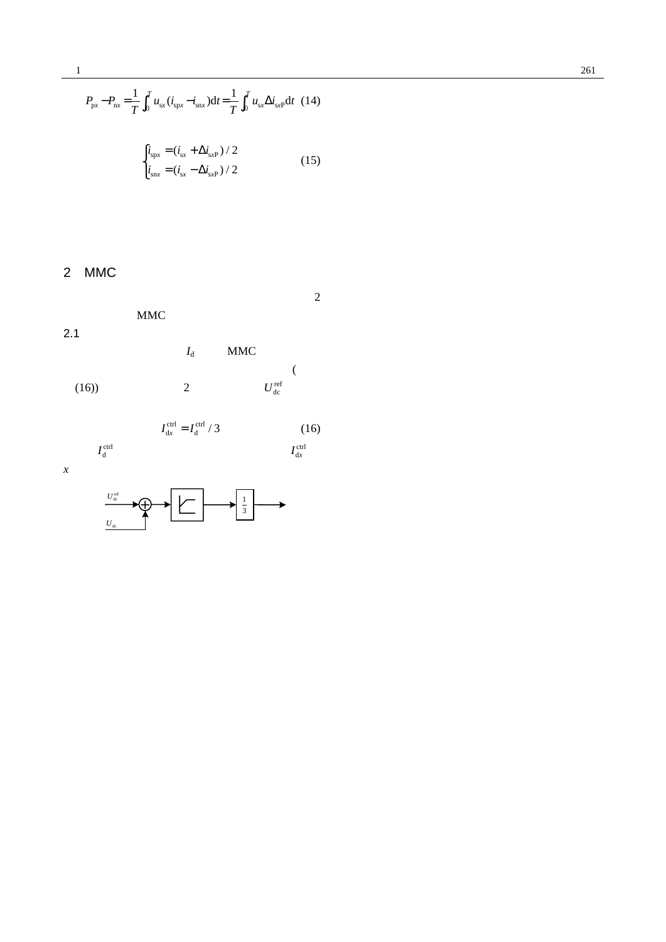$\label{eq:1.1} \gamma_1(\mathbf{P})\text{-}\mathbf{2}(\mathbf{U})\mathbf{F}=\mathbf{C} \quad \text{on } \mathcal{E} \text{ for all } 1\leq i\leq n-1, \qquad \mathcal{E}:=\mathcal{E} \qquad \text{ for } \mathcal{E}=\mathbb{E}.$ *U* 21 94-2018 h c em cJour al El t e s i e. e er e h  $\frac{21}{94-2018}$  h c em c Jour al El t c s i e. e er e h  $\mathfrak{I}_1 \cong \mathfrak{I} \otimes \mathfrak{I}_2 \oplus \cdots \cong \mathfrak{I}_n \otimes \mathfrak{I}_n \otimes \cdots \otimes \mathfrak{I}_n \otimes \cdots \otimes \mathfrak{I}_n \otimes \cdots \otimes \mathfrak{I}_n \otimes \cdots \otimes \mathfrak{I}_n \otimes \cdots \otimes \mathfrak{I}_n \otimes \cdots \otimes \mathfrak{I}_n \otimes \cdots \otimes \mathfrak{I}_n \otimes \cdots \otimes \mathfrak{I}_n \otimes \cdots \otimes \mathfrak{I}_n \otimes \cdots \otimes \$ *x* 相上、下桥臂 *U*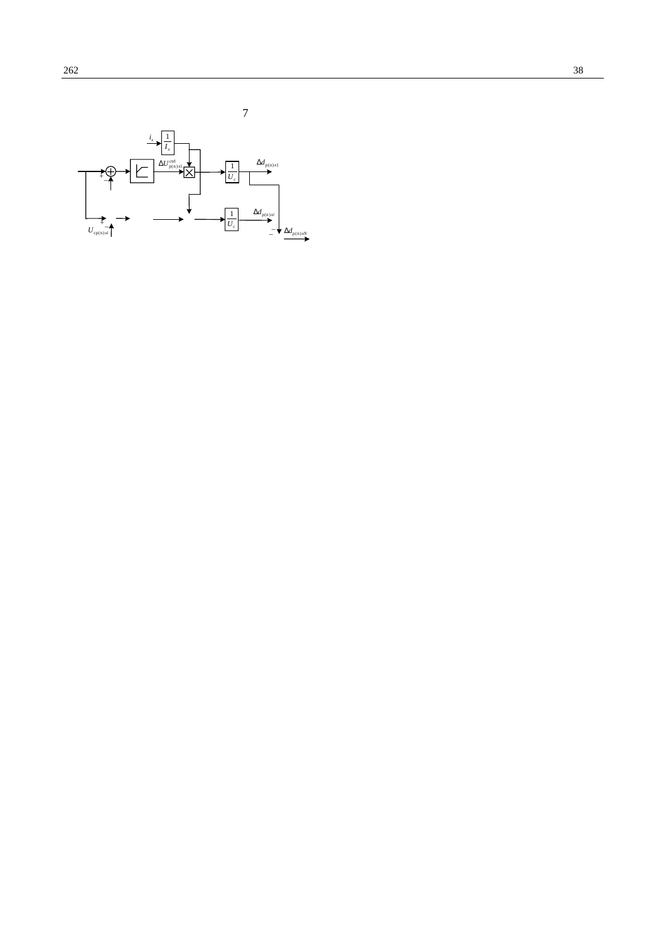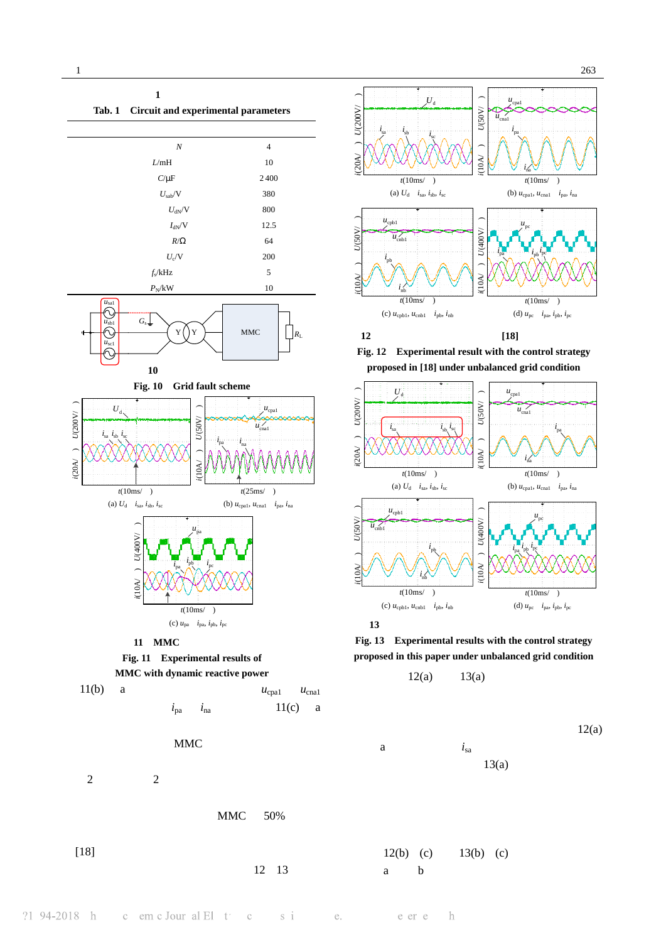



**Fig. 12 Experimental result with the control strategy proposed in [18] under unbalanced grid condition** 



**Fig. 13 Experimental results with the control strategy proposed in this paper under unbalanced grid condition** 



$$
i_{sa} \qquad \qquad 12(a)
$$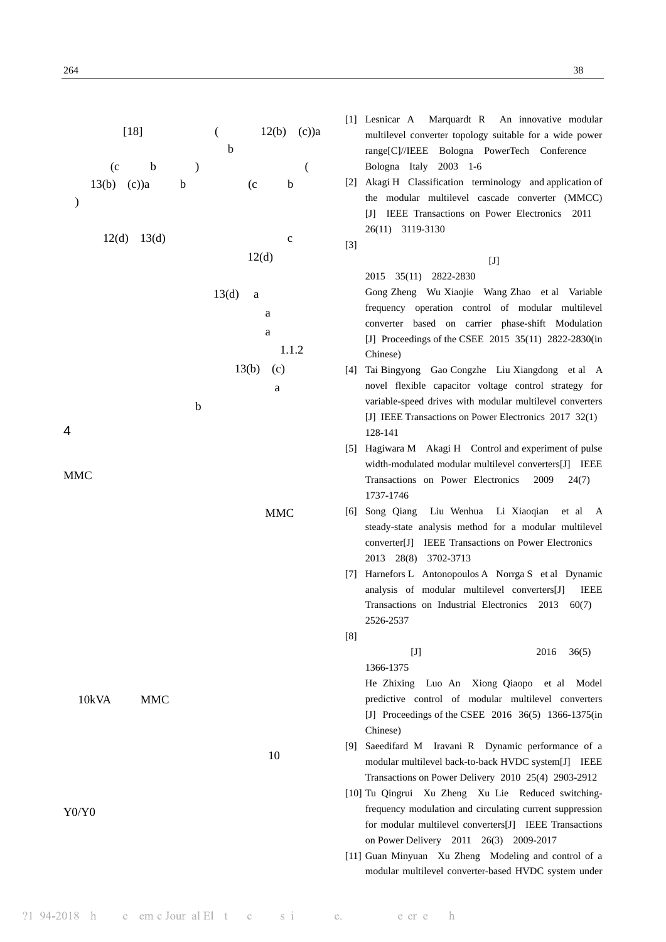$[18]$  (  $12(b)$  (c))a  $\mathbf b$  $(c \t b \t )$  $13(b)$  (c))a b (c b )  $12(d)$   $13(d)$  c  $12(d)$  $13(d)$  a  $a$  $a$  $1.1.2$  $13(b)$  (c)  $a$  $b$ 4 结论  $MMC$  $MMC$ 10kVA MMC  $10$ Y0/Y0 [1] Lesnicar A Marquardt R An innovative modular multilevel converter topology suitable for a wide power range[C]//IEEE Bologna PowerTech Conference Bologna Italy 2003 1-6 [2] Akagi H Classification terminology and application of the modular multilevel cascade converter (MMCC) [J] IEEE Transactions on Power Electronics 2011 26(11) 3119-3130  $[3]$  $[J]$ 2015 35(11) 2822-2830 Gong Zheng Wu Xiaojie Wang Zhao et al Variable frequency operation control of modular multilevel converter based on carrier phase-shift Modulation [J] Proceedings of the CSEE 2015 35(11) 2822-2830(in Chinese) [4] Tai Bingyong Gao Congzhe Liu Xiangdong et al A novel flexible capacitor voltage control strategy for variable-speed drives with modular multilevel converters [J] IEEE Transactions on Power Electronics 2017 32(1) 128-141 [5] Hagiwara M Akagi H Control and experiment of pulse width-modulated modular multilevel converters[J] IEEE Transactions on Power Electronics 2009 24(7) 1737-1746 [6] Song Qiang Liu Wenhua Li Xiaoqian et al A steady-state analysis method for a modular multilevel converter[J] IEEE Transactions on Power Electronics 2013 28(8) 3702-3713 [7] Harnefors L Antonopoulos A Norrga S et al Dynamic analysis of modular multilevel converters[J] IEEE Transactions on Industrial Electronics 2013 60(7) 2526-2537  $[8]$  $[J]$  2016 36(5) 1366-1375 He Zhixing Luo An Xiong Qiaopo et al Model predictive control of modular multilevel converters [J] Proceedings of the CSEE 2016 36(5) 1366-1375(in Chinese) [9] Saeedifard M Iravani R Dynamic performance of a modular multilevel back-to-back HVDC system[J] IEEE Transactions on Power Delivery 2010 25(4) 2903-2912 [10] Tu Qingrui Xu Zheng Xu Lie Reduced switchingfrequency modulation and circulating current suppression for modular multilevel converters[J] IEEE Transactions on Power Delivery 2011 26(3) 2009-2017 [11] Guan Minyuan Xu Zheng Modeling and control of a modular multilevel converter-based HVDC system under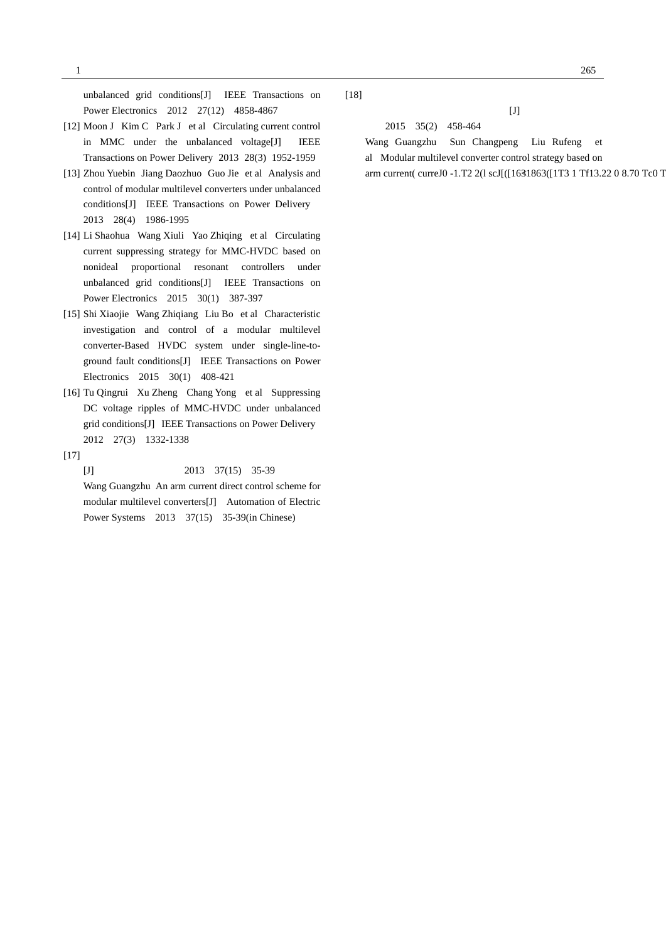unbalanced grid conditions[J] IEEE Transactions on Power Electronics 2012 27(12) 4858-4867

- [12] Moon J Kim C Park J et al Circulating current control in MMC under the unbalanced voltage[J] IEEE Transactions on Power Delivery 2013 28(3) 1952-1959
- [13] Zhou Yuebin Jiang Daozhuo Guo Jie et al Analysis and control of modular multilevel converters under unbalanced conditions[J] IEEE Transactions on Power Delivery 2013 28(4) 1986-1995
- [14] Li Shaohua Wang Xiuli Yao Zhiqing et al Circulating current suppressing strategy for MMC-HVDC based on nonideal proportional resonant controllers under unbalanced grid conditions[J] IEEE Transactions on Power Electronics 2015 30(1) 387-397
- [15] Shi Xiaojie Wang Zhiqiang Liu Bo et al Characteristic investigation and control of a modular multilevel converter-Based HVDC system under single-line-toground fault conditions[J] IEEE Transactions on Power Electronics 2015 30(1) 408-421
- [16] Tu Qingrui Xu Zheng Chang Yong et al Suppressing DC voltage ripples of MMC-HVDC under unbalanced grid conditions[J] IEEE Transactions on Power Delivery 2012 27(3) 1332-1338
- $[17]$

 $[J]$  2013 37(15) 35-39

Wang Guangzhu An arm current direct control scheme for modular multilevel converters[J] Automation of Electric Power Systems 2013 37(15) 35-39(in Chinese)

 $[18]$ 

报,2015 35(2) 458-464

Wang Guangzhu Sun Changpeng Liu Rufeng et al Modular multilevel converter control strategy based on arm current( curreJ0 -1.T $\bar{E}$  2(1 scJ[([1631863([1T3 1 Tf13.22 0 8.70 Tc0 T current( curreJ0 -1.T $\bar{E}$  2(1 scJ[([1631863([1T3 1 Tf13.22 0 8.70 Tc0 T

 $[J]$